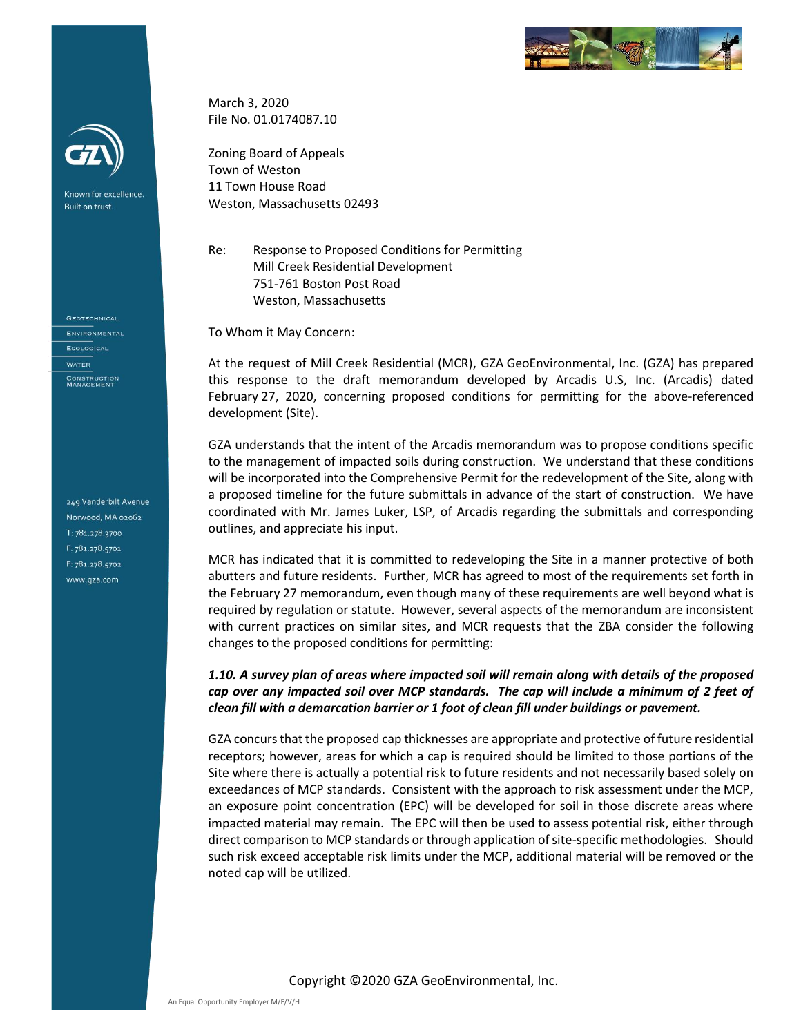



Known for excellence. Built on trust.

**GEOTECHNICAL ENVIRONMENTAL** ECOLOGICAL **WATER** CONSTRUCTION<br>MANAGEMENT

249 Vanderbilt Avenue Norwood, MA 02062 T: 781.278.3700 F: 781.278.5701 F: 781.278.5702 www.gza.com

March 3, 2020 File No. 01.0174087.10

Zoning Board of Appeals Town of Weston 11 Town House Road Weston, Massachusetts 02493

Re: Response to Proposed Conditions for Permitting Mill Creek Residential Development 751-761 Boston Post Road Weston, Massachusetts

To Whom it May Concern:

At the request of Mill Creek Residential (MCR), GZA GeoEnvironmental, Inc. (GZA) has prepared this response to the draft memorandum developed by Arcadis U.S, Inc. (Arcadis) dated February 27, 2020, concerning proposed conditions for permitting for the above-referenced development (Site).

GZA understands that the intent of the Arcadis memorandum was to propose conditions specific to the management of impacted soils during construction. We understand that these conditions will be incorporated into the Comprehensive Permit for the redevelopment of the Site, along with a proposed timeline for the future submittals in advance of the start of construction. We have coordinated with Mr. James Luker, LSP, of Arcadis regarding the submittals and corresponding outlines, and appreciate his input.

MCR has indicated that it is committed to redeveloping the Site in a manner protective of both abutters and future residents. Further, MCR has agreed to most of the requirements set forth in the February 27 memorandum, even though many of these requirements are well beyond what is required by regulation or statute. However, several aspects of the memorandum are inconsistent with current practices on similar sites, and MCR requests that the ZBA consider the following changes to the proposed conditions for permitting:

### *1.10. A survey plan of areas where impacted soil will remain along with details of the proposed cap over any impacted soil over MCP standards. The cap will include a minimum of 2 feet of clean fill with a demarcation barrier or 1 foot of clean fill under buildings or pavement.*

GZA concurs that the proposed cap thicknesses are appropriate and protective of future residential receptors; however, areas for which a cap is required should be limited to those portions of the Site where there is actually a potential risk to future residents and not necessarily based solely on exceedances of MCP standards. Consistent with the approach to risk assessment under the MCP, an exposure point concentration (EPC) will be developed for soil in those discrete areas where impacted material may remain. The EPC will then be used to assess potential risk, either through direct comparison to MCP standards or through application of site-specific methodologies. Should such risk exceed acceptable risk limits under the MCP, additional material will be removed or the noted cap will be utilized.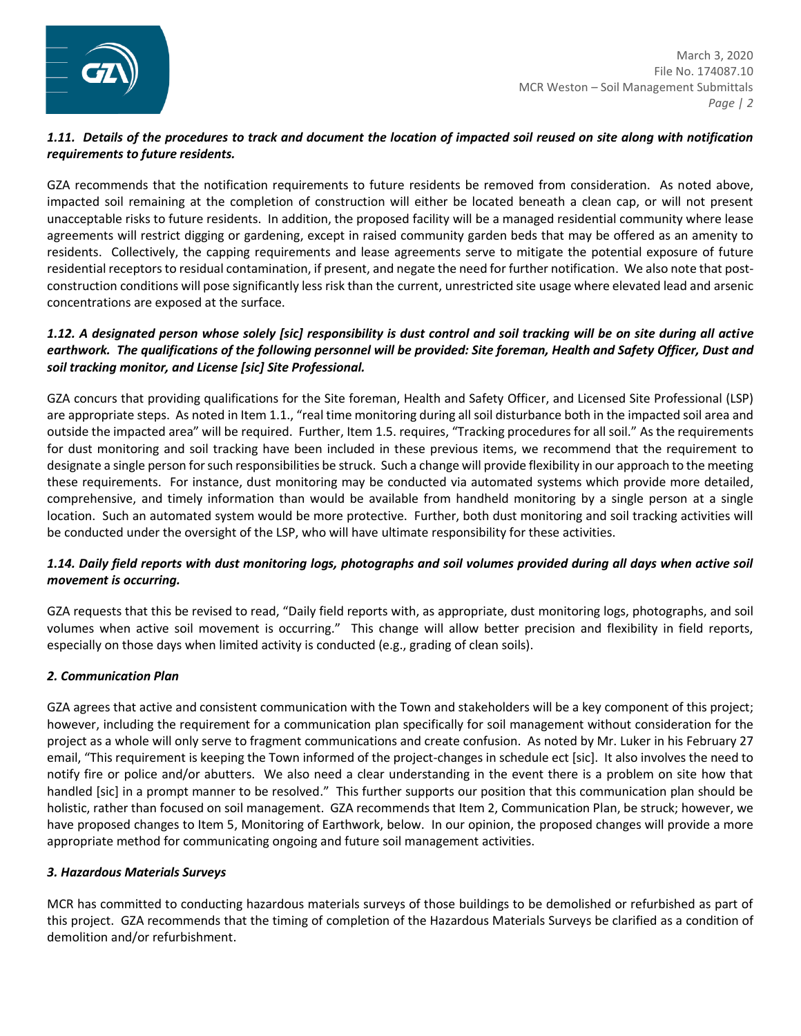

## *Proactive by Design 1.11. Details of the procedures to track and document the location of impacted soil reused on site along with notification requirements to future residents.*

GZA recommends that the notification requirements to future residents be removed from consideration. As noted above, impacted soil remaining at the completion of construction will either be located beneath a clean cap, or will not present unacceptable risks to future residents. In addition, the proposed facility will be a managed residential community where lease agreements will restrict digging or gardening, except in raised community garden beds that may be offered as an amenity to residents. Collectively, the capping requirements and lease agreements serve to mitigate the potential exposure of future residential receptors to residual contamination, if present, and negate the need for further notification. We also note that postconstruction conditions will pose significantly less risk than the current, unrestricted site usage where elevated lead and arsenic concentrations are exposed at the surface.

## *1.12. A designated person whose solely [sic] responsibility is dust control and soil tracking will be on site during all active*  earthwork. The qualifications of the following personnel will be provided: Site foreman, Health and Safety Officer, Dust and *soil tracking monitor, and License [sic] Site Professional.*

GZA concurs that providing qualifications for the Site foreman, Health and Safety Officer, and Licensed Site Professional (LSP) are appropriate steps. As noted in Item 1.1., "real time monitoring during all soil disturbance both in the impacted soil area and outside the impacted area" will be required. Further, Item 1.5. requires, "Tracking procedures for all soil." As the requirements for dust monitoring and soil tracking have been included in these previous items, we recommend that the requirement to designate a single person for such responsibilities be struck. Such a change will provide flexibility in our approach to the meeting these requirements. For instance, dust monitoring may be conducted via automated systems which provide more detailed, comprehensive, and timely information than would be available from handheld monitoring by a single person at a single location. Such an automated system would be more protective. Further, both dust monitoring and soil tracking activities will be conducted under the oversight of the LSP, who will have ultimate responsibility for these activities.

# *1.14. Daily field reports with dust monitoring logs, photographs and soil volumes provided during all days when active soil movement is occurring.*

GZA requests that this be revised to read, "Daily field reports with, as appropriate, dust monitoring logs, photographs, and soil volumes when active soil movement is occurring." This change will allow better precision and flexibility in field reports, especially on those days when limited activity is conducted (e.g., grading of clean soils).

# *2. Communication Plan*

GZA agrees that active and consistent communication with the Town and stakeholders will be a key component of this project; however, including the requirement for a communication plan specifically for soil management without consideration for the project as a whole will only serve to fragment communications and create confusion. As noted by Mr. Luker in his February 27 email, "This requirement is keeping the Town informed of the project-changes in schedule ect [sic]. It also involves the need to notify fire or police and/or abutters. We also need a clear understanding in the event there is a problem on site how that handled [sic] in a prompt manner to be resolved." This further supports our position that this communication plan should be holistic, rather than focused on soil management. GZA recommends that Item 2, Communication Plan, be struck; however, we have proposed changes to Item 5, Monitoring of Earthwork, below. In our opinion, the proposed changes will provide a more appropriate method for communicating ongoing and future soil management activities.

### *3. Hazardous Materials Surveys*

MCR has committed to conducting hazardous materials surveys of those buildings to be demolished or refurbished as part of this project. GZA recommends that the timing of completion of the Hazardous Materials Surveys be clarified as a condition of demolition and/or refurbishment.